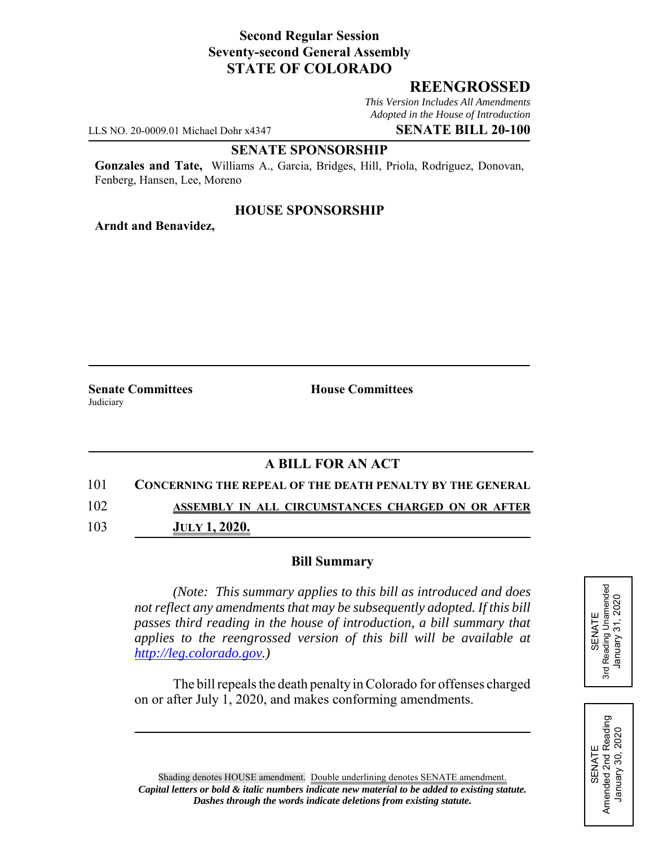## **Second Regular Session Seventy-second General Assembly STATE OF COLORADO**

## **REENGROSSED**

*This Version Includes All Amendments Adopted in the House of Introduction*

LLS NO. 20-0009.01 Michael Dohr x4347 **SENATE BILL 20-100**

### **SENATE SPONSORSHIP**

**Gonzales and Tate,** Williams A., Garcia, Bridges, Hill, Priola, Rodriguez, Donovan, Fenberg, Hansen, Lee, Moreno

### **HOUSE SPONSORSHIP**

**Arndt and Benavidez,**

**Senate Committees House Committees Judiciary** 

# **A BILL FOR AN ACT**

101 **CONCERNING THE REPEAL OF THE DEATH PENALTY BY THE GENERAL**

102 **ASSEMBLY IN ALL CIRCUMSTANCES CHARGED ON OR AFTER**

103 **JULY 1, 2020.**

#### **Bill Summary**

*(Note: This summary applies to this bill as introduced and does not reflect any amendments that may be subsequently adopted. If this bill passes third reading in the house of introduction, a bill summary that applies to the reengrossed version of this bill will be available at http://leg.colorado.gov.)*

The bill repeals the death penalty in Colorado for offenses charged on or after July 1, 2020, and makes conforming amendments.





Shading denotes HOUSE amendment. Double underlining denotes SENATE amendment. *Capital letters or bold & italic numbers indicate new material to be added to existing statute. Dashes through the words indicate deletions from existing statute.*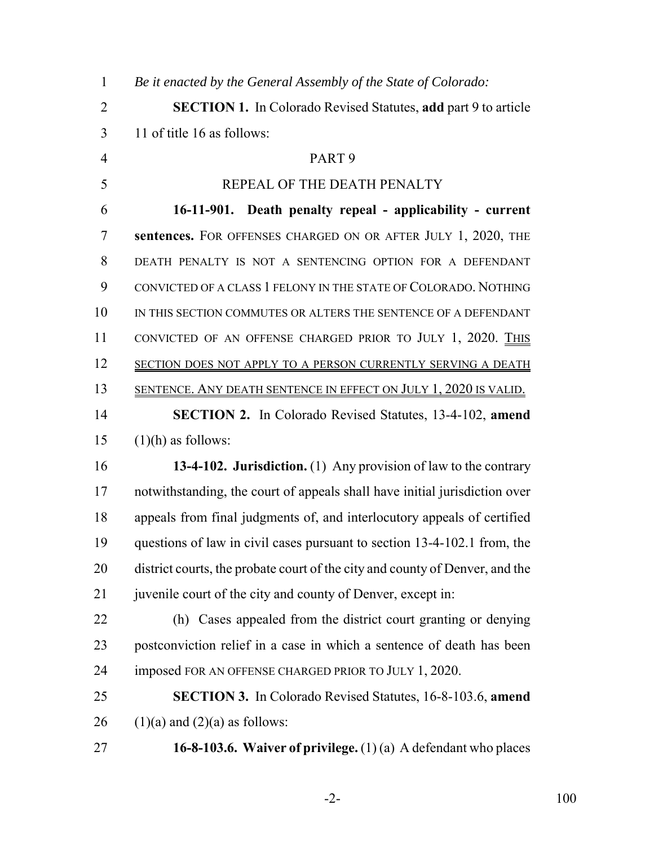| $\mathbf{1}$   | Be it enacted by the General Assembly of the State of Colorado:              |
|----------------|------------------------------------------------------------------------------|
| $\overline{2}$ | <b>SECTION 1.</b> In Colorado Revised Statutes, add part 9 to article        |
| 3              | 11 of title 16 as follows:                                                   |
| $\overline{4}$ | PART <sub>9</sub>                                                            |
| 5              | REPEAL OF THE DEATH PENALTY                                                  |
| 6              | 16-11-901. Death penalty repeal - applicability - current                    |
| $\overline{7}$ | sentences. FOR OFFENSES CHARGED ON OR AFTER JULY 1, 2020, THE                |
| 8              | DEATH PENALTY IS NOT A SENTENCING OPTION FOR A DEFENDANT                     |
| 9              | CONVICTED OF A CLASS 1 FELONY IN THE STATE OF COLORADO. NOTHING              |
| 10             | IN THIS SECTION COMMUTES OR ALTERS THE SENTENCE OF A DEFENDANT               |
| 11             | CONVICTED OF AN OFFENSE CHARGED PRIOR TO JULY 1, 2020. THIS                  |
| 12             | SECTION DOES NOT APPLY TO A PERSON CURRENTLY SERVING A DEATH                 |
| 13             | <u>SENTENCE. ANY DEATH SENTENCE IN EFFECT ON JULY 1, 2020 IS VALID.</u>      |
| 14             | <b>SECTION 2.</b> In Colorado Revised Statutes, 13-4-102, amend              |
| 15             | $(1)(h)$ as follows:                                                         |
| 16             | 13-4-102. Jurisdiction. (1) Any provision of law to the contrary             |
| 17             | notwithstanding, the court of appeals shall have initial jurisdiction over   |
| 18             | appeals from final judgments of, and interlocutory appeals of certified      |
| 19             | questions of law in civil cases pursuant to section 13-4-102.1 from, the     |
| 20             | district courts, the probate court of the city and county of Denver, and the |
| 21             | juvenile court of the city and county of Denver, except in:                  |
| 22             | (h) Cases appealed from the district court granting or denying               |
| 23             | postconviction relief in a case in which a sentence of death has been        |
| 24             | imposed FOR AN OFFENSE CHARGED PRIOR TO JULY 1, 2020.                        |
| 25             | <b>SECTION 3.</b> In Colorado Revised Statutes, 16-8-103.6, amend            |
| 26             | $(1)(a)$ and $(2)(a)$ as follows:                                            |
| 27             | 16-8-103.6. Waiver of privilege. $(1)(a)$ A defendant who places             |

-2- 100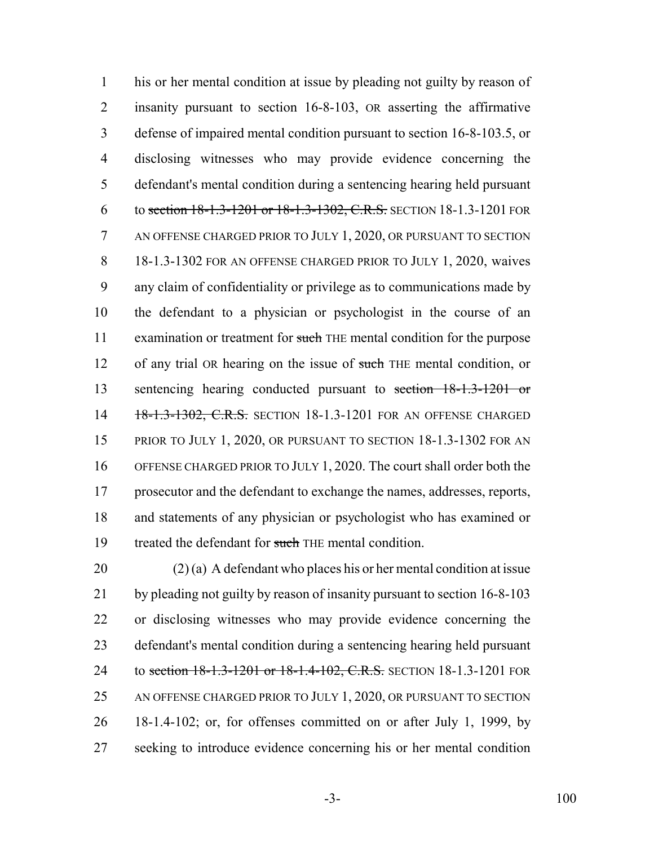his or her mental condition at issue by pleading not guilty by reason of insanity pursuant to section 16-8-103, OR asserting the affirmative defense of impaired mental condition pursuant to section 16-8-103.5, or disclosing witnesses who may provide evidence concerning the defendant's mental condition during a sentencing hearing held pursuant 6 to section 18-1.3-1201 or 18-1.3-1302, C.R.S. SECTION 18-1.3-1201 FOR AN OFFENSE CHARGED PRIOR TO JULY 1, 2020, OR PURSUANT TO SECTION 18-1.3-1302 FOR AN OFFENSE CHARGED PRIOR TO JULY 1, 2020, waives any claim of confidentiality or privilege as to communications made by the defendant to a physician or psychologist in the course of an 11 examination or treatment for such THE mental condition for the purpose 12 of any trial OR hearing on the issue of such THE mental condition, or sentencing hearing conducted pursuant to section 18-1.3-1201 or 14 18-1.3-1302, C.R.S. SECTION 18-1.3-1201 FOR AN OFFENSE CHARGED 15 PRIOR TO JULY 1, 2020, OR PURSUANT TO SECTION 18-1.3-1302 FOR AN OFFENSE CHARGED PRIOR TO JULY 1, 2020. The court shall order both the prosecutor and the defendant to exchange the names, addresses, reports, and statements of any physician or psychologist who has examined or 19 treated the defendant for such THE mental condition.

20 (2) (a) A defendant who places his or her mental condition at issue by pleading not guilty by reason of insanity pursuant to section 16-8-103 or disclosing witnesses who may provide evidence concerning the defendant's mental condition during a sentencing hearing held pursuant 24 to section 18-1.3-1201 or 18-1.4-102, C.R.S. SECTION 18-1.3-1201 FOR AN OFFENSE CHARGED PRIOR TO JULY 1, 2020, OR PURSUANT TO SECTION 18-1.4-102; or, for offenses committed on or after July 1, 1999, by seeking to introduce evidence concerning his or her mental condition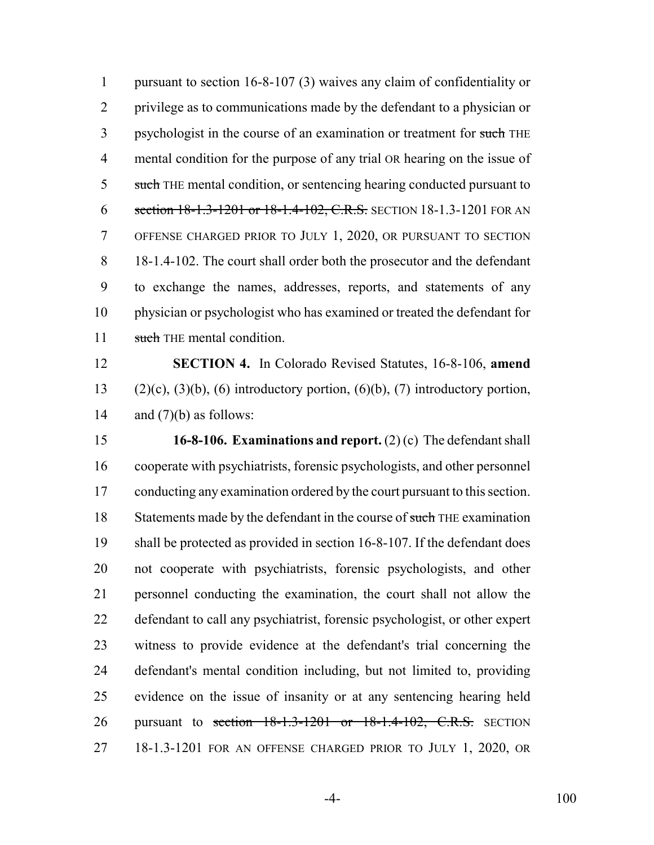pursuant to section 16-8-107 (3) waives any claim of confidentiality or privilege as to communications made by the defendant to a physician or 3 psychologist in the course of an examination or treatment for such THE mental condition for the purpose of any trial OR hearing on the issue of 5 such THE mental condition, or sentencing hearing conducted pursuant to 6 section 18-1.3-1201 or 18-1.4-102, C.R.S. SECTION 18-1.3-1201 FOR AN OFFENSE CHARGED PRIOR TO JULY 1, 2020, OR PURSUANT TO SECTION 18-1.4-102. The court shall order both the prosecutor and the defendant to exchange the names, addresses, reports, and statements of any physician or psychologist who has examined or treated the defendant for 11 such THE mental condition.

 **SECTION 4.** In Colorado Revised Statutes, 16-8-106, **amend** 13 (2)(c), (3)(b), (6) introductory portion, (6)(b), (7) introductory portion, 14 and  $(7)(b)$  as follows:

 **16-8-106. Examinations and report.** (2) (c) The defendant shall cooperate with psychiatrists, forensic psychologists, and other personnel conducting any examination ordered by the court pursuant to this section. 18 Statements made by the defendant in the course of such THE examination shall be protected as provided in section 16-8-107. If the defendant does not cooperate with psychiatrists, forensic psychologists, and other personnel conducting the examination, the court shall not allow the defendant to call any psychiatrist, forensic psychologist, or other expert witness to provide evidence at the defendant's trial concerning the defendant's mental condition including, but not limited to, providing evidence on the issue of insanity or at any sentencing hearing held 26 pursuant to section 18-1.3-1201 or 18-1.4-102, C.R.S. SECTION 18-1.3-1201 FOR AN OFFENSE CHARGED PRIOR TO JULY 1, 2020, OR

-4- 100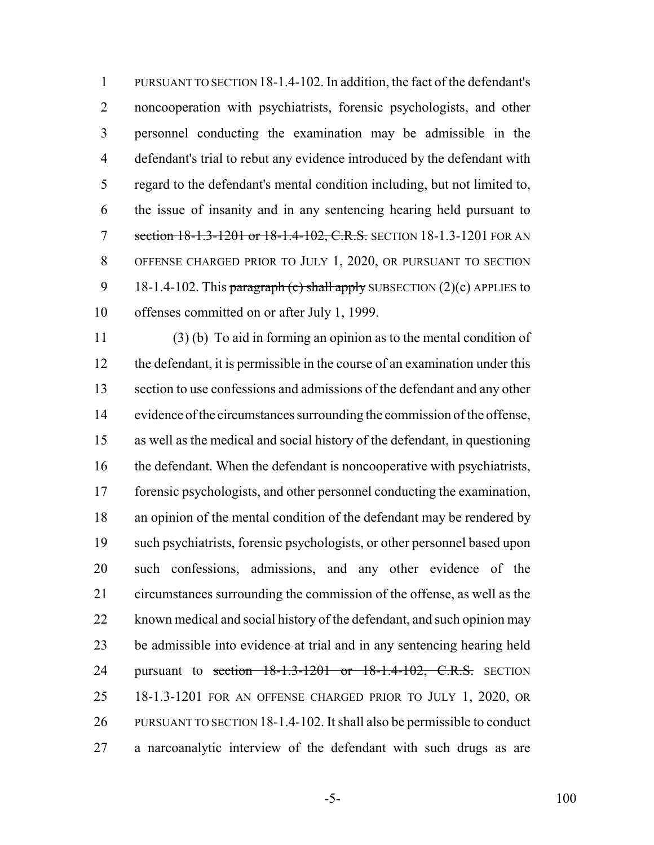PURSUANT TO SECTION 18-1.4-102. In addition, the fact of the defendant's noncooperation with psychiatrists, forensic psychologists, and other personnel conducting the examination may be admissible in the defendant's trial to rebut any evidence introduced by the defendant with regard to the defendant's mental condition including, but not limited to, the issue of insanity and in any sentencing hearing held pursuant to 7 section 18-1.3-1201 or 18-1.4-102, C.R.S. SECTION 18-1.3-1201 FOR AN OFFENSE CHARGED PRIOR TO JULY 1, 2020, OR PURSUANT TO SECTION 9 18-1.4-102. This paragraph (c) shall apply SUBSECTION  $(2)(c)$  APPLIES to offenses committed on or after July 1, 1999.

 (3) (b) To aid in forming an opinion as to the mental condition of the defendant, it is permissible in the course of an examination under this section to use confessions and admissions of the defendant and any other evidence of the circumstances surrounding the commission of the offense, as well as the medical and social history of the defendant, in questioning the defendant. When the defendant is noncooperative with psychiatrists, forensic psychologists, and other personnel conducting the examination, an opinion of the mental condition of the defendant may be rendered by such psychiatrists, forensic psychologists, or other personnel based upon such confessions, admissions, and any other evidence of the circumstances surrounding the commission of the offense, as well as the known medical and social history of the defendant, and such opinion may be admissible into evidence at trial and in any sentencing hearing held 24 pursuant to section 18-1.3-1201 or 18-1.4-102, C.R.S. SECTION 18-1.3-1201 FOR AN OFFENSE CHARGED PRIOR TO JULY 1, 2020, OR PURSUANT TO SECTION 18-1.4-102. It shall also be permissible to conduct a narcoanalytic interview of the defendant with such drugs as are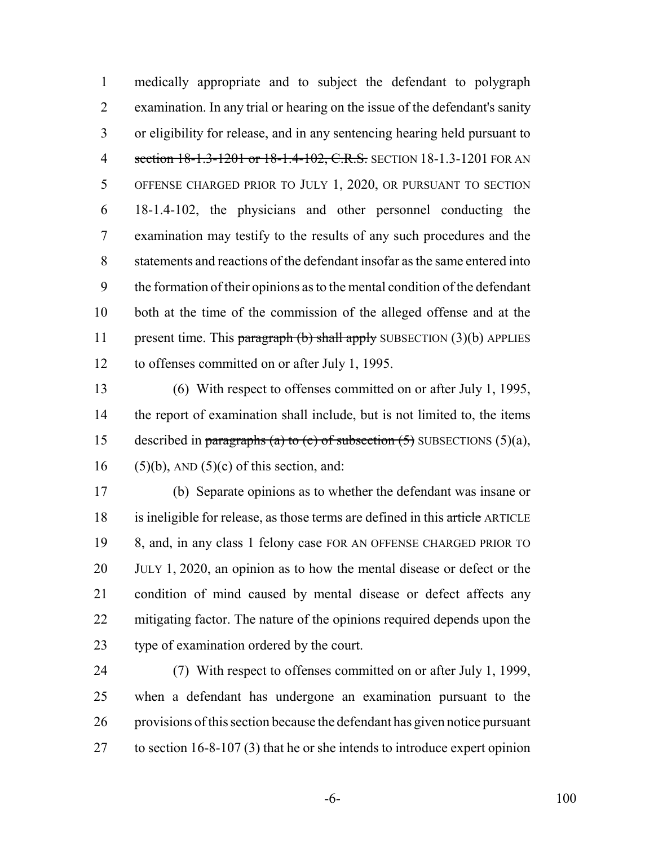medically appropriate and to subject the defendant to polygraph examination. In any trial or hearing on the issue of the defendant's sanity or eligibility for release, and in any sentencing hearing held pursuant to 4 section 18-1.3-1201 or 18-1.4-102, C.R.S. SECTION 18-1.3-1201 FOR AN OFFENSE CHARGED PRIOR TO JULY 1, 2020, OR PURSUANT TO SECTION 18-1.4-102, the physicians and other personnel conducting the examination may testify to the results of any such procedures and the statements and reactions of the defendant insofar as the same entered into the formation of their opinions as to the mental condition of the defendant both at the time of the commission of the alleged offense and at the 11 present time. This paragraph  $(b)$  shall apply SUBSECTION  $(3)(b)$  APPLIES to offenses committed on or after July 1, 1995.

 (6) With respect to offenses committed on or after July 1, 1995, the report of examination shall include, but is not limited to, the items 15 described in paragraphs (a) to (c) of subsection  $(5)$  SUBSECTIONS  $(5)(a)$ , 16 (5)(b), AND (5)(c) of this section, and:

 (b) Separate opinions as to whether the defendant was insane or 18 is ineligible for release, as those terms are defined in this article ARTICLE 8, and, in any class 1 felony case FOR AN OFFENSE CHARGED PRIOR TO JULY 1, 2020, an opinion as to how the mental disease or defect or the condition of mind caused by mental disease or defect affects any mitigating factor. The nature of the opinions required depends upon the type of examination ordered by the court.

 (7) With respect to offenses committed on or after July 1, 1999, when a defendant has undergone an examination pursuant to the provisions of this section because the defendant has given notice pursuant to section 16-8-107 (3) that he or she intends to introduce expert opinion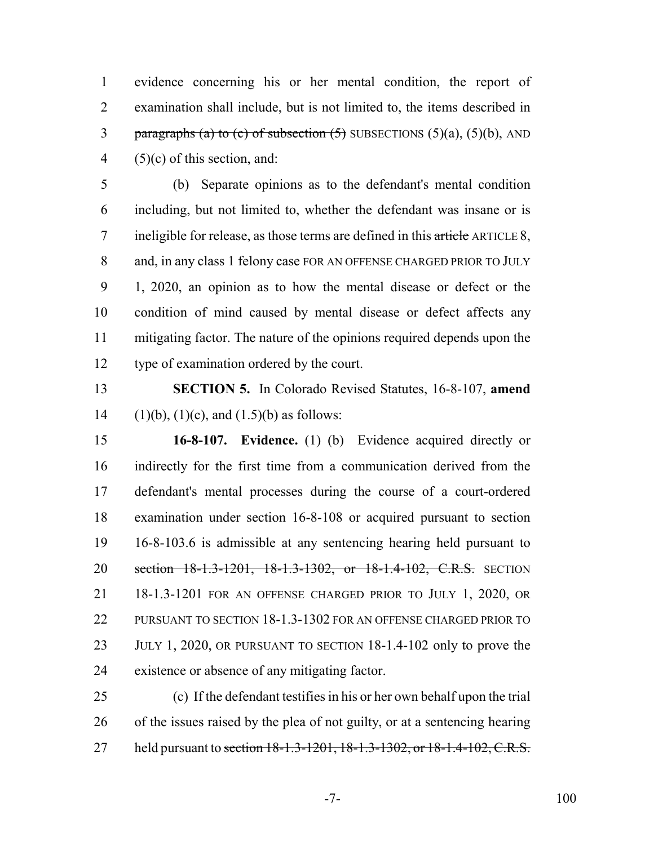evidence concerning his or her mental condition, the report of examination shall include, but is not limited to, the items described in 3 paragraphs (a) to (c) of subsection  $(5)$  SUBSECTIONS  $(5)(a)$ ,  $(5)(b)$ , AND 4 (5)(c) of this section, and:

 (b) Separate opinions as to the defendant's mental condition including, but not limited to, whether the defendant was insane or is 7 ineligible for release, as those terms are defined in this article ARTICLE 8, 8 and, in any class 1 felony case FOR AN OFFENSE CHARGED PRIOR TO JULY 1, 2020, an opinion as to how the mental disease or defect or the condition of mind caused by mental disease or defect affects any mitigating factor. The nature of the opinions required depends upon the type of examination ordered by the court.

 **SECTION 5.** In Colorado Revised Statutes, 16-8-107, **amend** 14 (1)(b), (1)(c), and (1.5)(b) as follows:

 **16-8-107. Evidence.** (1) (b) Evidence acquired directly or indirectly for the first time from a communication derived from the defendant's mental processes during the course of a court-ordered examination under section 16-8-108 or acquired pursuant to section 16-8-103.6 is admissible at any sentencing hearing held pursuant to 20 section 18-1.3-1201, 18-1.3-1302, or 18-1.4-102, C.R.S. SECTION 18-1.3-1201 FOR AN OFFENSE CHARGED PRIOR TO JULY 1, 2020, OR PURSUANT TO SECTION 18-1.3-1302 FOR AN OFFENSE CHARGED PRIOR TO JULY 1, 2020, OR PURSUANT TO SECTION 18-1.4-102 only to prove the existence or absence of any mitigating factor.

 (c) If the defendant testifies in his or her own behalf upon the trial of the issues raised by the plea of not guilty, or at a sentencing hearing 27 held pursuant to section 18-1.3-1201, 18-1.3-1302, or 18-1.4-102, C.R.S.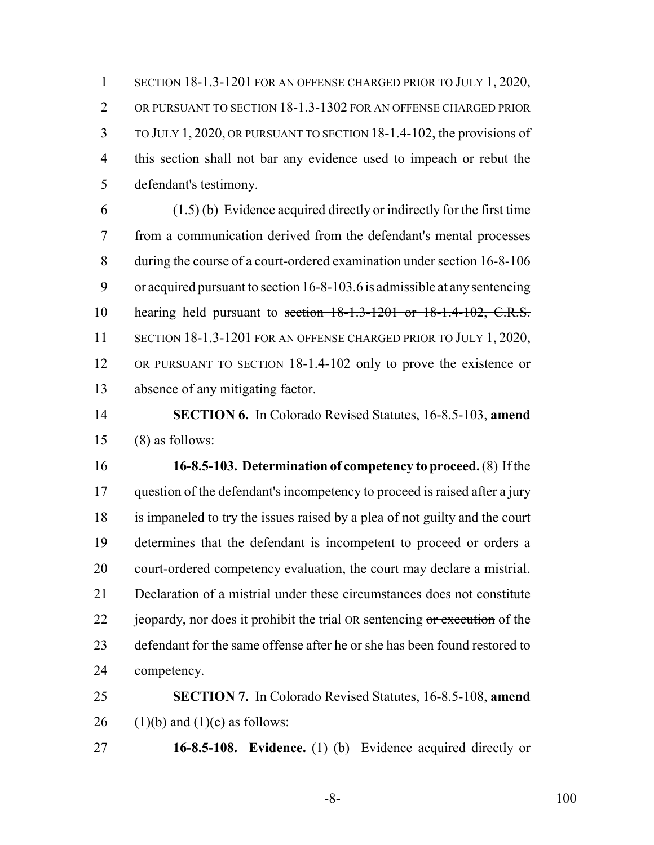SECTION 18-1.3-1201 FOR AN OFFENSE CHARGED PRIOR TO JULY 1, 2020, OR PURSUANT TO SECTION 18-1.3-1302 FOR AN OFFENSE CHARGED PRIOR TO JULY 1, 2020, OR PURSUANT TO SECTION 18-1.4-102, the provisions of this section shall not bar any evidence used to impeach or rebut the defendant's testimony.

 (1.5) (b) Evidence acquired directly or indirectly for the first time from a communication derived from the defendant's mental processes during the course of a court-ordered examination under section 16-8-106 or acquired pursuant to section 16-8-103.6 is admissible at any sentencing hearing held pursuant to section 18-1.3-1201 or 18-1.4-102, C.R.S. 11 SECTION 18-1.3-1201 FOR AN OFFENSE CHARGED PRIOR TO JULY 1, 2020, OR PURSUANT TO SECTION 18-1.4-102 only to prove the existence or absence of any mitigating factor.

 **SECTION 6.** In Colorado Revised Statutes, 16-8.5-103, **amend** (8) as follows:

 **16-8.5-103. Determination of competency to proceed.** (8) If the question of the defendant's incompetency to proceed is raised after a jury is impaneled to try the issues raised by a plea of not guilty and the court determines that the defendant is incompetent to proceed or orders a court-ordered competency evaluation, the court may declare a mistrial. Declaration of a mistrial under these circumstances does not constitute 22 jeopardy, nor does it prohibit the trial OR sentencing or execution of the defendant for the same offense after he or she has been found restored to competency.

 **SECTION 7.** In Colorado Revised Statutes, 16-8.5-108, **amend** 26 (1)(b) and (1)(c) as follows:

**16-8.5-108. Evidence.** (1) (b) Evidence acquired directly or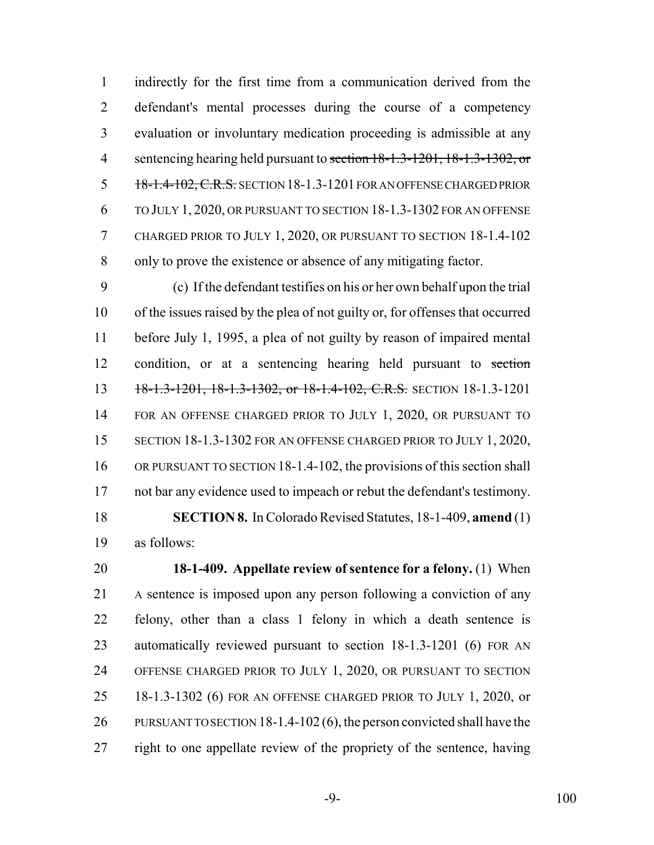indirectly for the first time from a communication derived from the defendant's mental processes during the course of a competency evaluation or involuntary medication proceeding is admissible at any 4 sentencing hearing held pursuant to section  $18-1.3-1201$ ,  $18-1.3-1302$ , or 5 18-1.4-102, C.R.S. SECTION 18-1.3-1201 FOR AN OFFENSE CHARGED PRIOR TO JULY 1, 2020, OR PURSUANT TO SECTION 18-1.3-1302 FOR AN OFFENSE CHARGED PRIOR TO JULY 1, 2020, OR PURSUANT TO SECTION 18-1.4-102 only to prove the existence or absence of any mitigating factor.

 (c) If the defendant testifies on his or her own behalf upon the trial of the issues raised by the plea of not guilty or, for offenses that occurred before July 1, 1995, a plea of not guilty by reason of impaired mental condition, or at a sentencing hearing held pursuant to section 13 18-1.3-1201, 18-1.3-1302, or 18-1.4-102, C.R.S. SECTION 18-1.3-1201 FOR AN OFFENSE CHARGED PRIOR TO JULY 1, 2020, OR PURSUANT TO 15 SECTION 18-1.3-1302 FOR AN OFFENSE CHARGED PRIOR TO JULY 1, 2020, 16 OR PURSUANT TO SECTION 18-1.4-102, the provisions of this section shall not bar any evidence used to impeach or rebut the defendant's testimony. **SECTION 8.** In Colorado Revised Statutes, 18-1-409, **amend** (1) as follows:

 **18-1-409. Appellate review of sentence for a felony.** (1) When A sentence is imposed upon any person following a conviction of any felony, other than a class 1 felony in which a death sentence is automatically reviewed pursuant to section 18-1.3-1201 (6) FOR AN OFFENSE CHARGED PRIOR TO JULY 1, 2020, OR PURSUANT TO SECTION 18-1.3-1302 (6) FOR AN OFFENSE CHARGED PRIOR TO JULY 1, 2020, or PURSUANT TO SECTION 18-1.4-102 (6), the person convicted shall have the right to one appellate review of the propriety of the sentence, having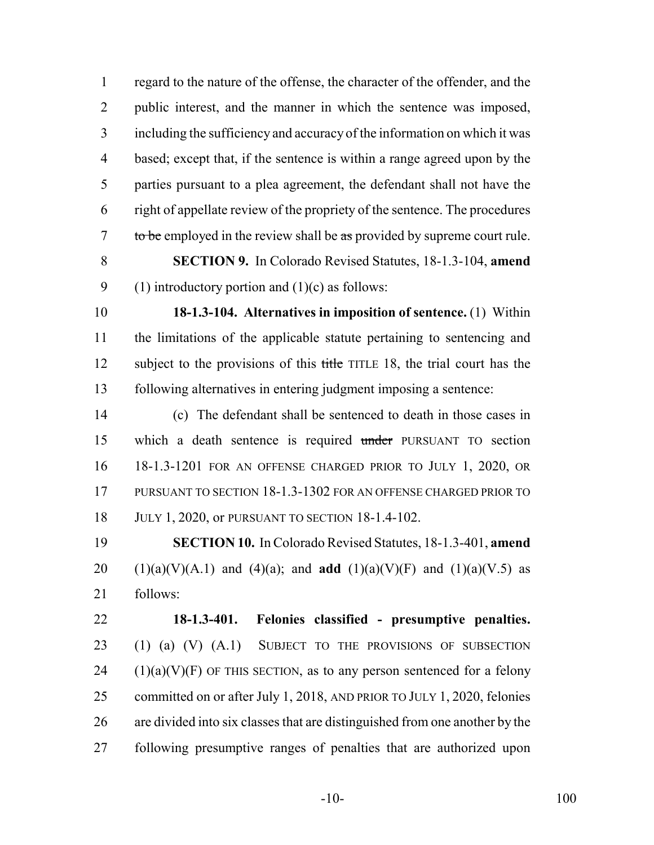regard to the nature of the offense, the character of the offender, and the public interest, and the manner in which the sentence was imposed, including the sufficiency and accuracy of the information on which it was based; except that, if the sentence is within a range agreed upon by the parties pursuant to a plea agreement, the defendant shall not have the right of appellate review of the propriety of the sentence. The procedures 7 to be employed in the review shall be as provided by supreme court rule.

 **SECTION 9.** In Colorado Revised Statutes, 18-1.3-104, **amend** 9 (1) introductory portion and  $(1)(c)$  as follows:

 **18-1.3-104. Alternatives in imposition of sentence.** (1) Within the limitations of the applicable statute pertaining to sentencing and 12 subject to the provisions of this title TITLE 18, the trial court has the following alternatives in entering judgment imposing a sentence:

 (c) The defendant shall be sentenced to death in those cases in which a death sentence is required under PURSUANT TO section 18-1.3-1201 FOR AN OFFENSE CHARGED PRIOR TO JULY 1, 2020, OR PURSUANT TO SECTION 18-1.3-1302 FOR AN OFFENSE CHARGED PRIOR TO JULY 1, 2020, or PURSUANT TO SECTION 18-1.4-102.

 **SECTION 10.** In Colorado Revised Statutes, 18-1.3-401, **amend** 20 (1)(a)(V)(A.1) and (4)(a); and **add** (1)(a)(V)(F) and (1)(a)(V.5) as follows:

 **18-1.3-401. Felonies classified - presumptive penalties.** (1) (a) (V) (A.1) SUBJECT TO THE PROVISIONS OF SUBSECTION (1)(a)(V)(F) OF THIS SECTION, as to any person sentenced for a felony committed on or after July 1, 2018, AND PRIOR TO JULY 1, 2020, felonies are divided into six classes that are distinguished from one another by the following presumptive ranges of penalties that are authorized upon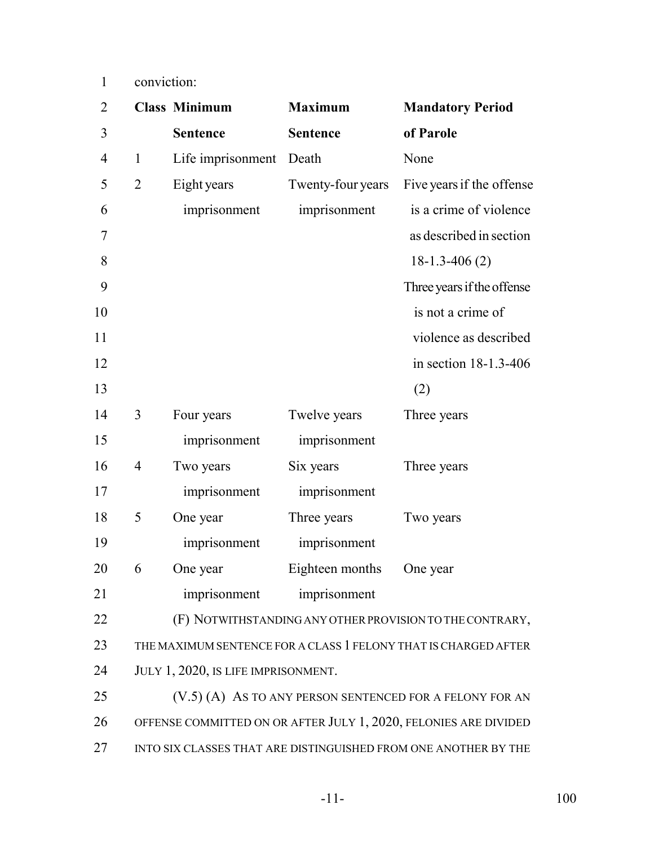1 conviction:

| $\overline{2}$ |                                                                 | <b>Class Minimum</b>                                             | <b>Maximum</b>    | <b>Mandatory Period</b>                                         |  |  |
|----------------|-----------------------------------------------------------------|------------------------------------------------------------------|-------------------|-----------------------------------------------------------------|--|--|
| 3              |                                                                 | <b>Sentence</b>                                                  | <b>Sentence</b>   | of Parole                                                       |  |  |
| $\overline{4}$ | $\mathbf{1}$                                                    | Life imprisonment                                                | Death             | None                                                            |  |  |
| 5              | $\overline{2}$                                                  | Eight years                                                      | Twenty-four years | Five years if the offense                                       |  |  |
| 6              |                                                                 | imprisonment                                                     | imprisonment      | is a crime of violence                                          |  |  |
| 7              |                                                                 |                                                                  |                   | as described in section                                         |  |  |
| 8              |                                                                 |                                                                  |                   | $18-1.3-406(2)$                                                 |  |  |
| 9              |                                                                 |                                                                  |                   | Three years if the offense                                      |  |  |
| 10             |                                                                 |                                                                  |                   | is not a crime of                                               |  |  |
| 11             |                                                                 |                                                                  |                   | violence as described                                           |  |  |
| 12             |                                                                 |                                                                  |                   | in section 18-1.3-406                                           |  |  |
| 13             |                                                                 |                                                                  |                   | (2)                                                             |  |  |
| 14             | 3                                                               | Four years                                                       | Twelve years      | Three years                                                     |  |  |
| 15             |                                                                 | imprisonment                                                     | imprisonment      |                                                                 |  |  |
| 16             | $\overline{4}$                                                  | Two years                                                        | Six years         | Three years                                                     |  |  |
| 17             |                                                                 | imprisonment                                                     | imprisonment      |                                                                 |  |  |
| 18             | 5                                                               | One year                                                         | Three years       | Two years                                                       |  |  |
| 19             |                                                                 | imprisonment                                                     | imprisonment      |                                                                 |  |  |
| 20             | 6                                                               | One year                                                         | Eighteen months   | One year                                                        |  |  |
| 21             |                                                                 | imprisonment                                                     | imprisonment      |                                                                 |  |  |
| 22             |                                                                 |                                                                  |                   | (F) NOTWITHSTANDING ANY OTHER PROVISION TO THE CONTRARY,        |  |  |
| 23             |                                                                 |                                                                  |                   | THE MAXIMUM SENTENCE FOR A CLASS 1 FELONY THAT IS CHARGED AFTER |  |  |
| 24             |                                                                 | JULY 1, 2020, IS LIFE IMPRISONMENT.                              |                   |                                                                 |  |  |
| 25             |                                                                 | (V.5) (A) AS TO ANY PERSON SENTENCED FOR A FELONY FOR AN         |                   |                                                                 |  |  |
| 26             |                                                                 | OFFENSE COMMITTED ON OR AFTER JULY 1, 2020, FELONIES ARE DIVIDED |                   |                                                                 |  |  |
| 27             | INTO SIX CLASSES THAT ARE DISTINGUISHED FROM ONE ANOTHER BY THE |                                                                  |                   |                                                                 |  |  |
|                |                                                                 |                                                                  |                   |                                                                 |  |  |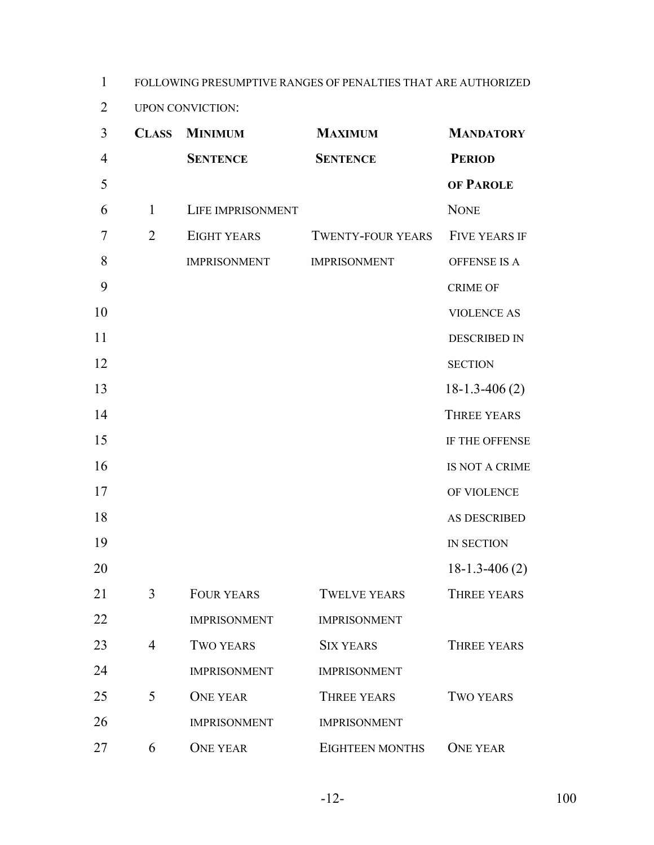1 FOLLOWING PRESUMPTIVE RANGES OF PENALTIES THAT ARE AUTHORIZED

2 UPON CONVICTION:

| $\overline{3}$ |                | <b>CLASS MINIMUM</b> | <b>MAXIMUM</b>           | <b>MANDATORY</b>     |
|----------------|----------------|----------------------|--------------------------|----------------------|
| $\overline{4}$ |                | <b>SENTENCE</b>      | <b>SENTENCE</b>          | <b>PERIOD</b>        |
| 5              |                |                      |                          | OF PAROLE            |
| 6              | 1              | LIFE IMPRISONMENT    |                          | <b>NONE</b>          |
| 7              | $\overline{2}$ | EIGHT YEARS          | <b>TWENTY-FOUR YEARS</b> | <b>FIVE YEARS IF</b> |
| 8              |                | <b>IMPRISONMENT</b>  | <b>IMPRISONMENT</b>      | <b>OFFENSE IS A</b>  |
| 9              |                |                      |                          | <b>CRIME OF</b>      |
| 10             |                |                      |                          | <b>VIOLENCE AS</b>   |
| 11             |                |                      |                          | <b>DESCRIBED IN</b>  |
| 12             |                |                      |                          | <b>SECTION</b>       |
| 13             |                |                      |                          | $18-1.3-406(2)$      |
| 14             |                |                      |                          | <b>THREE YEARS</b>   |
| 15             |                |                      |                          | IF THE OFFENSE       |
| 16             |                |                      |                          | IS NOT A CRIME       |
| 17             |                |                      |                          | OF VIOLENCE          |
| 18             |                |                      |                          | AS DESCRIBED         |
| 19             |                |                      |                          | IN SECTION           |
| 20             |                |                      |                          | $18-1.3-406(2)$      |
| 21             | 3              | <b>FOUR YEARS</b>    | <b>TWELVE YEARS</b>      | <b>THREE YEARS</b>   |
| 22             |                | <b>IMPRISONMENT</b>  | <b>IMPRISONMENT</b>      |                      |
| 23             | $\overline{4}$ | <b>TWO YEARS</b>     | <b>SIX YEARS</b>         | <b>THREE YEARS</b>   |
| 24             |                | <b>IMPRISONMENT</b>  | <b>IMPRISONMENT</b>      |                      |
| 25             | 5              | <b>ONE YEAR</b>      | <b>THREE YEARS</b>       | <b>TWO YEARS</b>     |
| 26             |                | <b>IMPRISONMENT</b>  | <b>IMPRISONMENT</b>      |                      |
| 27             | 6              | <b>ONE YEAR</b>      | <b>EIGHTEEN MONTHS</b>   | <b>ONE YEAR</b>      |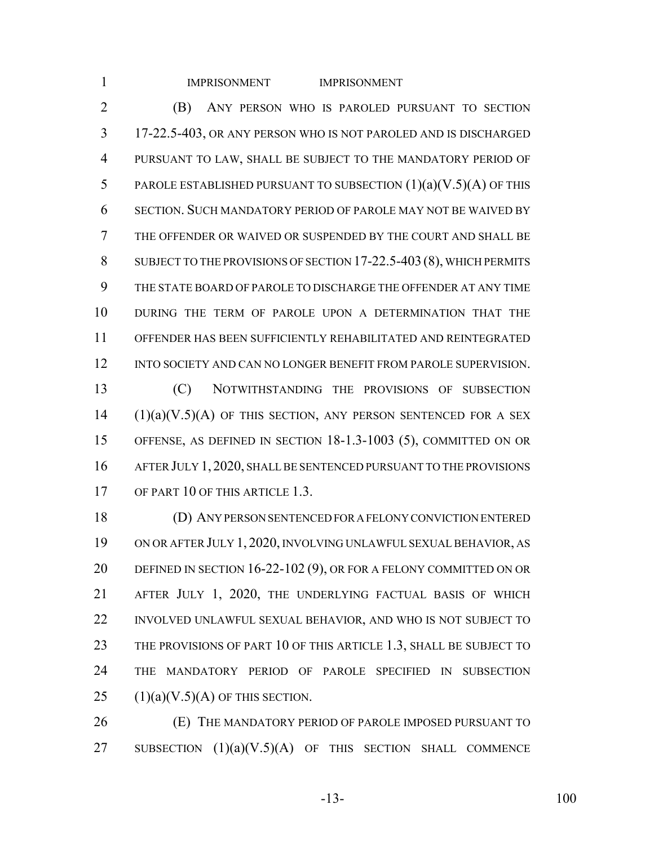| $\mathbf{1}$   | <b>IMPRISONMENT</b><br><b>IMPRISONMENT</b>                          |
|----------------|---------------------------------------------------------------------|
| $\overline{2}$ | (B)<br>ANY PERSON WHO IS PAROLED PURSUANT TO SECTION                |
| 3              | 17-22.5-403, OR ANY PERSON WHO IS NOT PAROLED AND IS DISCHARGED     |
| $\overline{4}$ | PURSUANT TO LAW, SHALL BE SUBJECT TO THE MANDATORY PERIOD OF        |
| 5              | PAROLE ESTABLISHED PURSUANT TO SUBSECTION $(1)(a)(V.5)(A)$ OF THIS  |
| 6              | SECTION. SUCH MANDATORY PERIOD OF PAROLE MAY NOT BE WAIVED BY       |
| $\overline{7}$ | THE OFFENDER OR WAIVED OR SUSPENDED BY THE COURT AND SHALL BE       |
| 8              | SUBJECT TO THE PROVISIONS OF SECTION 17-22.5-403 (8), WHICH PERMITS |
| 9              | THE STATE BOARD OF PAROLE TO DISCHARGE THE OFFENDER AT ANY TIME     |
| 10             | DURING THE TERM OF PAROLE UPON A DETERMINATION THAT THE             |
| 11             | OFFENDER HAS BEEN SUFFICIENTLY REHABILITATED AND REINTEGRATED       |
| 12             | INTO SOCIETY AND CAN NO LONGER BENEFIT FROM PAROLE SUPERVISION.     |
| 13             | (C)<br>NOTWITHSTANDING THE PROVISIONS OF SUBSECTION                 |
| 14             | $(1)(a)(V.5)(A)$ OF THIS SECTION, ANY PERSON SENTENCED FOR A SEX    |
| 15             | OFFENSE, AS DEFINED IN SECTION 18-1.3-1003 (5), COMMITTED ON OR     |
| 16             | AFTER JULY 1, 2020, SHALL BE SENTENCED PURSUANT TO THE PROVISIONS   |
| 17             | OF PART 10 OF THIS ARTICLE 1.3.                                     |
| 18             | (D) ANY PERSON SENTENCED FOR A FELONY CONVICTION ENTERED            |
| 19             | ON OR AFTER JULY 1, 2020, INVOLVING UNLAWFUL SEXUAL BEHAVIOR, AS    |
|                |                                                                     |

20 DEFINED IN SECTION 16-22-102 (9), OR FOR A FELONY COMMITTED ON OR AFTER JULY 1, 2020, THE UNDERLYING FACTUAL BASIS OF WHICH INVOLVED UNLAWFUL SEXUAL BEHAVIOR, AND WHO IS NOT SUBJECT TO 23 THE PROVISIONS OF PART 10 OF THIS ARTICLE 1.3, SHALL BE SUBJECT TO THE MANDATORY PERIOD OF PAROLE SPECIFIED IN SUBSECTION  $(1)(a)(V.5)(A)$  OF THIS SECTION.

 (E) THE MANDATORY PERIOD OF PAROLE IMPOSED PURSUANT TO 27 SUBSECTION  $(1)(a)(V.5)(A)$  OF THIS SECTION SHALL COMMENCE

-13- 100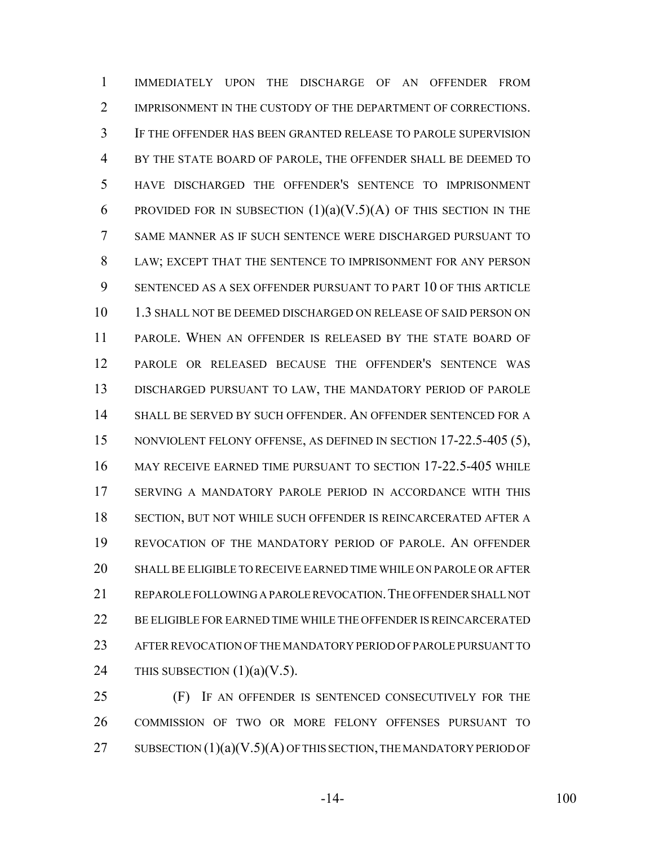IMMEDIATELY UPON THE DISCHARGE OF AN OFFENDER FROM 2 IMPRISONMENT IN THE CUSTODY OF THE DEPARTMENT OF CORRECTIONS. IF THE OFFENDER HAS BEEN GRANTED RELEASE TO PAROLE SUPERVISION BY THE STATE BOARD OF PAROLE, THE OFFENDER SHALL BE DEEMED TO HAVE DISCHARGED THE OFFENDER'S SENTENCE TO IMPRISONMENT 6 PROVIDED FOR IN SUBSECTION  $(1)(a)(V.5)(A)$  OF THIS SECTION IN THE SAME MANNER AS IF SUCH SENTENCE WERE DISCHARGED PURSUANT TO LAW; EXCEPT THAT THE SENTENCE TO IMPRISONMENT FOR ANY PERSON SENTENCED AS A SEX OFFENDER PURSUANT TO PART 10 OF THIS ARTICLE 1.3 SHALL NOT BE DEEMED DISCHARGED ON RELEASE OF SAID PERSON ON PAROLE. WHEN AN OFFENDER IS RELEASED BY THE STATE BOARD OF PAROLE OR RELEASED BECAUSE THE OFFENDER'S SENTENCE WAS DISCHARGED PURSUANT TO LAW, THE MANDATORY PERIOD OF PAROLE SHALL BE SERVED BY SUCH OFFENDER. AN OFFENDER SENTENCED FOR A 15 NONVIOLENT FELONY OFFENSE, AS DEFINED IN SECTION 17-22.5-405 (5), MAY RECEIVE EARNED TIME PURSUANT TO SECTION 17-22.5-405 WHILE SERVING A MANDATORY PAROLE PERIOD IN ACCORDANCE WITH THIS SECTION, BUT NOT WHILE SUCH OFFENDER IS REINCARCERATED AFTER A REVOCATION OF THE MANDATORY PERIOD OF PAROLE. AN OFFENDER SHALL BE ELIGIBLE TO RECEIVE EARNED TIME WHILE ON PAROLE OR AFTER REPAROLE FOLLOWING A PAROLE REVOCATION.THE OFFENDER SHALL NOT BE ELIGIBLE FOR EARNED TIME WHILE THE OFFENDER IS REINCARCERATED AFTER REVOCATION OF THE MANDATORY PERIOD OF PAROLE PURSUANT TO 24 THIS SUBSECTION  $(1)(a)(V.5)$ .

 (F) IF AN OFFENDER IS SENTENCED CONSECUTIVELY FOR THE COMMISSION OF TWO OR MORE FELONY OFFENSES PURSUANT TO 27 SUBSECTION  $(1)(a)(V.5)(A)$  OF THIS SECTION, THE MANDATORY PERIOD OF

-14- 100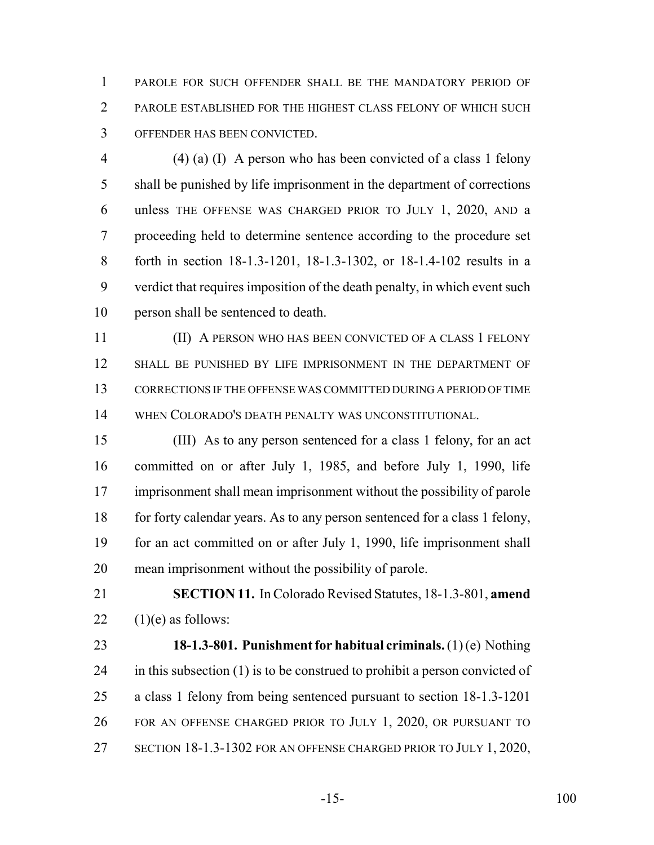PAROLE FOR SUCH OFFENDER SHALL BE THE MANDATORY PERIOD OF PAROLE ESTABLISHED FOR THE HIGHEST CLASS FELONY OF WHICH SUCH OFFENDER HAS BEEN CONVICTED.

 (4) (a) (I) A person who has been convicted of a class 1 felony shall be punished by life imprisonment in the department of corrections unless THE OFFENSE WAS CHARGED PRIOR TO JULY 1, 2020, AND a proceeding held to determine sentence according to the procedure set forth in section 18-1.3-1201, 18-1.3-1302, or 18-1.4-102 results in a verdict that requires imposition of the death penalty, in which event such person shall be sentenced to death.

 (II) A PERSON WHO HAS BEEN CONVICTED OF A CLASS 1 FELONY SHALL BE PUNISHED BY LIFE IMPRISONMENT IN THE DEPARTMENT OF CORRECTIONS IF THE OFFENSE WAS COMMITTED DURING A PERIOD OF TIME WHEN COLORADO'S DEATH PENALTY WAS UNCONSTITUTIONAL.

 (III) As to any person sentenced for a class 1 felony, for an act committed on or after July 1, 1985, and before July 1, 1990, life imprisonment shall mean imprisonment without the possibility of parole for forty calendar years. As to any person sentenced for a class 1 felony, for an act committed on or after July 1, 1990, life imprisonment shall mean imprisonment without the possibility of parole.

 **SECTION 11.** In Colorado Revised Statutes, 18-1.3-801, **amend** 22  $(1)(e)$  as follows:

 **18-1.3-801. Punishment for habitual criminals.** (1) (e) Nothing in this subsection (1) is to be construed to prohibit a person convicted of a class 1 felony from being sentenced pursuant to section 18-1.3-1201 FOR AN OFFENSE CHARGED PRIOR TO JULY 1, 2020, OR PURSUANT TO SECTION 18-1.3-1302 FOR AN OFFENSE CHARGED PRIOR TO JULY 1, 2020,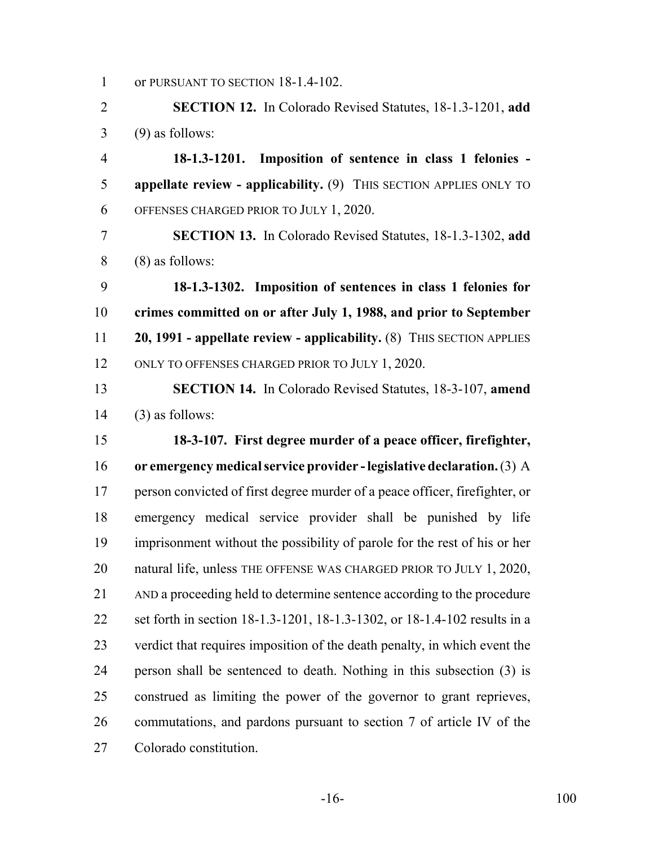1 or PURSUANT TO SECTION 18-1.4-102.

 **SECTION 12.** In Colorado Revised Statutes, 18-1.3-1201, **add** (9) as follows:

 **18-1.3-1201. Imposition of sentence in class 1 felonies - appellate review - applicability.** (9) THIS SECTION APPLIES ONLY TO OFFENSES CHARGED PRIOR TO JULY 1, 2020.

 **SECTION 13.** In Colorado Revised Statutes, 18-1.3-1302, **add** (8) as follows:

 **18-1.3-1302. Imposition of sentences in class 1 felonies for crimes committed on or after July 1, 1988, and prior to September 20, 1991 - appellate review - applicability.** (8) THIS SECTION APPLIES 12 ONLY TO OFFENSES CHARGED PRIOR TO JULY 1, 2020.

 **SECTION 14.** In Colorado Revised Statutes, 18-3-107, **amend** (3) as follows:

 **18-3-107. First degree murder of a peace officer, firefighter, or emergency medical service provider - legislative declaration.** (3) A person convicted of first degree murder of a peace officer, firefighter, or emergency medical service provider shall be punished by life imprisonment without the possibility of parole for the rest of his or her 20 natural life, unless THE OFFENSE WAS CHARGED PRIOR TO JULY 1, 2020, AND a proceeding held to determine sentence according to the procedure set forth in section 18-1.3-1201, 18-1.3-1302, or 18-1.4-102 results in a verdict that requires imposition of the death penalty, in which event the person shall be sentenced to death. Nothing in this subsection (3) is construed as limiting the power of the governor to grant reprieves, commutations, and pardons pursuant to section 7 of article IV of the Colorado constitution.